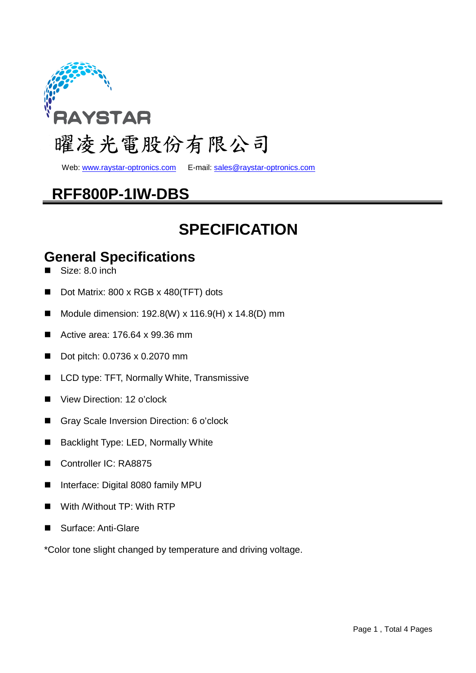

Web: www.raystar-optronics.com E-mail: sales@raystar-optronics.com

## **RFF800P-1IW-DBS**

## **SPECIFICATION**

#### **General Specifications**

- Size: 8.0 inch
- Dot Matrix: 800 x RGB x 480(TFT) dots
- Module dimension:  $192.8(W)$  x  $116.9(H)$  x  $14.8(D)$  mm
- Active area: 176.64 x 99.36 mm
- Dot pitch: 0.0736 x 0.2070 mm
- LCD type: TFT, Normally White, Transmissive
- View Direction: 12 o'clock
- Gray Scale Inversion Direction: 6 o'clock
- Backlight Type: LED, Normally White
- Controller IC: RA8875
- Interface: Digital 8080 family MPU
- With /Without TP: With RTP
- Surface: Anti-Glare

\*Color tone slight changed by temperature and driving voltage.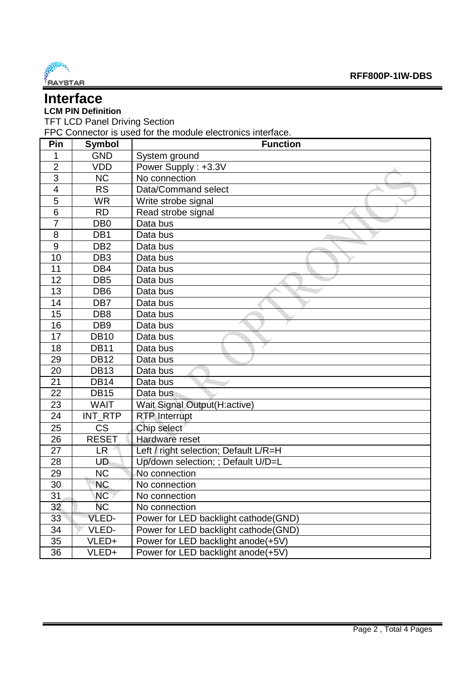

### **Interface**

#### **LCM PIN Definition**

TFT LCD Panel Driving Section

FPC Connector is used for the module electronics interface.

| Pin                      | <b>Symbol</b>   | <b>Function</b>                       |
|--------------------------|-----------------|---------------------------------------|
| 1                        | <b>GND</b>      | System ground                         |
| $\overline{2}$           | <b>VDD</b>      | Power Supply: +3.3V                   |
| 3                        | <b>NC</b>       | No connection                         |
| $\overline{\mathcal{A}}$ | <b>RS</b>       | Data/Command select                   |
| $\overline{5}$           | <b>WR</b>       | Write strobe signal                   |
| 6                        | <b>RD</b>       | Read strobe signal                    |
| $\overline{7}$           | DB <sub>0</sub> | Data bus                              |
| 8                        | DB <sub>1</sub> | Data bus                              |
| 9                        | DB <sub>2</sub> | Data bus                              |
| 10                       | DB <sub>3</sub> | Data bus                              |
| 11                       | DB4             | Data bus                              |
| 12                       | DB <sub>5</sub> | Data bus                              |
| 13                       | DB <sub>6</sub> | Data bus                              |
| 14                       | DB7             | Data bus                              |
| 15                       | DB <sub>8</sub> | Data bus                              |
| 16                       | DB <sub>9</sub> | Data bus                              |
| 17                       | <b>DB10</b>     | Data bus                              |
| 18                       | <b>DB11</b>     | Data bus                              |
| 29                       | <b>DB12</b>     | Data bus                              |
| 20                       | <b>DB13</b>     | Data bus                              |
| 21                       | <b>DB14</b>     | Data bus                              |
| 22                       | <b>DB15</b>     | Data bus                              |
| 23                       | <b>WAIT</b>     | Wait Signal Output(H:active)          |
| 24                       | INT RTP         | <b>RTP Interrupt</b>                  |
| 25                       | <b>CS</b>       | Chip select                           |
| 26                       | <b>RESET</b>    | Hardware reset                        |
| 27                       | <b>LR</b>       | Left / right selection; Default L/R=H |
| 28                       | UD              | Up/down selection; ; Default U/D=L    |
| 29                       | <b>NC</b>       | No connection                         |
| 30                       | <b>NC</b>       | No connection                         |
| 31                       | <b>NC</b>       | No connection                         |
| 32                       | <b>NC</b>       | No connection                         |
| 33 <sup>°</sup>          | VLED-           | Power for LED backlight cathode(GND)  |
| 34                       | VLED-           | Power for LED backlight cathode (GND) |
| 35                       | VLED+           | Power for LED backlight anode(+5V)    |
| 36                       | VLED+           | Power for LED backlight anode(+5V)    |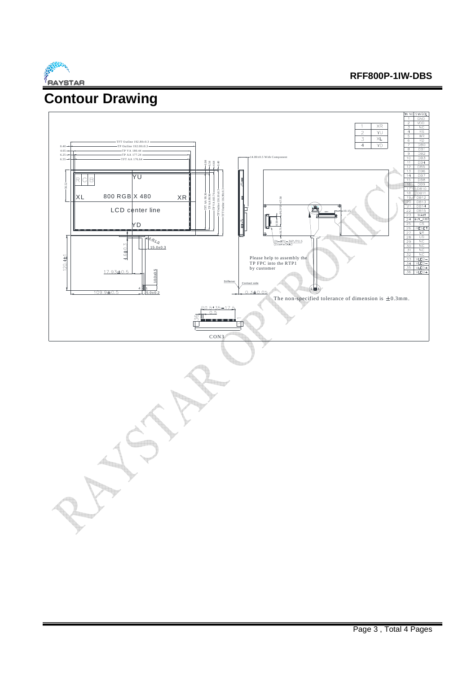

## **Contour Drawing**